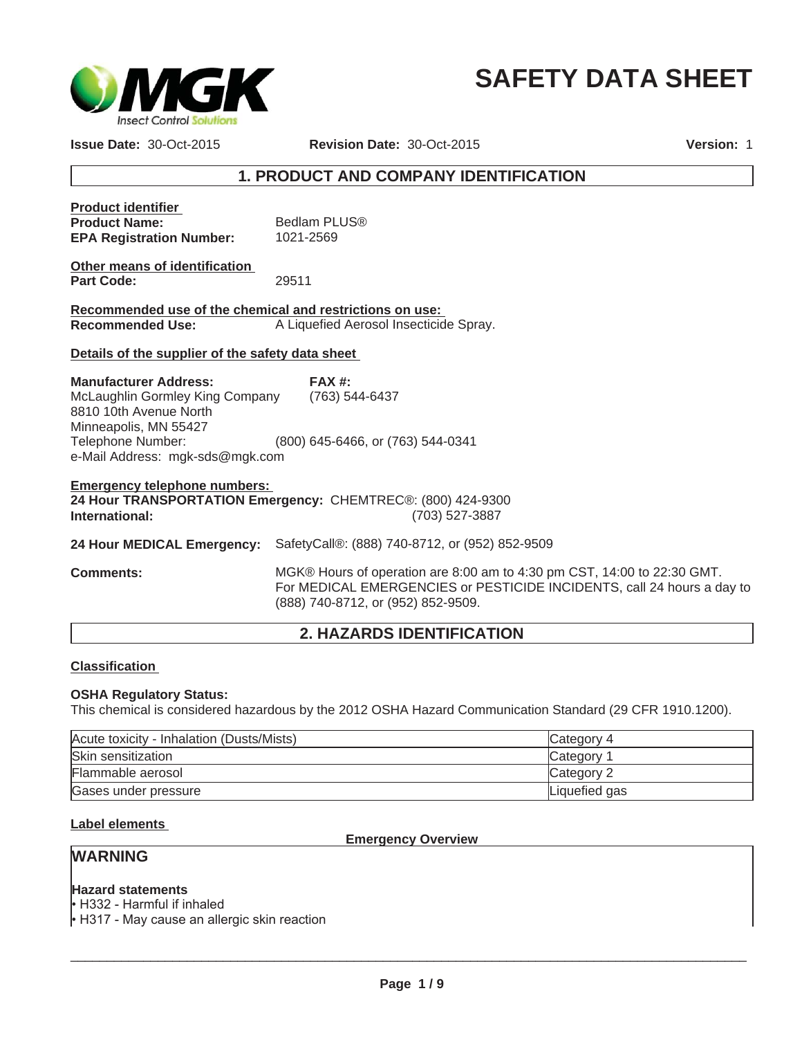

# **SAFETY DATA SHEET**

**Issue Date:** 30-Oct-2015

**Revision Date:** 30-Oct-2015 **Version:** 1

## **1. PRODUCT AND COMPANY IDENTIFICATION**

| <b>Product identifier</b><br><b>Product Name:</b><br><b>EPA Registration Number:</b>                                                   | Bedlam PLUS®<br>1021-2569                      |  |
|----------------------------------------------------------------------------------------------------------------------------------------|------------------------------------------------|--|
| Other means of identification<br><b>Part Code:</b>                                                                                     | 29511                                          |  |
| Recommended use of the chemical and restrictions on use:                                                                               |                                                |  |
| <b>Recommended Use:</b>                                                                                                                | A Liquefied Aerosol Insecticide Spray.         |  |
| Details of the supplier of the safety data sheet                                                                                       |                                                |  |
| <b>Manufacturer Address:</b>                                                                                                           | FAX#                                           |  |
| McLaughlin Gormley King Company (763) 544-6437<br>8810 10th Avenue North<br>Minneapolis, MN 55427                                      |                                                |  |
| Telephone Number:                                                                                                                      | (800) 645-6466, or (763) 544-0341              |  |
| e-Mail Address: mgk-sds@mgk.com                                                                                                        |                                                |  |
| <b>Emergency telephone numbers:</b><br>24 Hour TRANSPORTATION Emergency: CHEMTREC®: (800) 424-9300<br>(703) 527-3887<br>International: |                                                |  |
| 24 Hour MEDICAL Emergency:                                                                                                             | SafetyCall®: (888) 740-8712, or (952) 852-9509 |  |
|                                                                                                                                        |                                                |  |

**Comments:** MGK® Hours of operation are 8:00 am to 4:30 pm CST, 14:00 to 22:30 GMT. For MEDICAL EMERGENCIES or PESTICIDE INCIDENTS, call 24 hours a day to (888) 740-8712, or (952) 852-9509.

## **2. HAZARDS IDENTIFICATION**

## **Classification**

## **OSHA Regulatory Status:**

This chemical is considered hazardous by the 2012 OSHA Hazard Communication Standard (29 CFR 1910.1200).

| Acute toxicity - Inhalation (Dusts/Mists) | Category 4    |
|-------------------------------------------|---------------|
| Skin sensitization                        | Category 1    |
| Flammable aerosol                         | Category 2    |
| Gases under pressure                      | Liquefied gas |

## **Label elements**

**Emergency Overview**

## **WARNING**

## **Hazard statements**

 $\cdot$  H332 - Harmful if inhaled

 $\cdot$  H317 - May cause an allergic skin reaction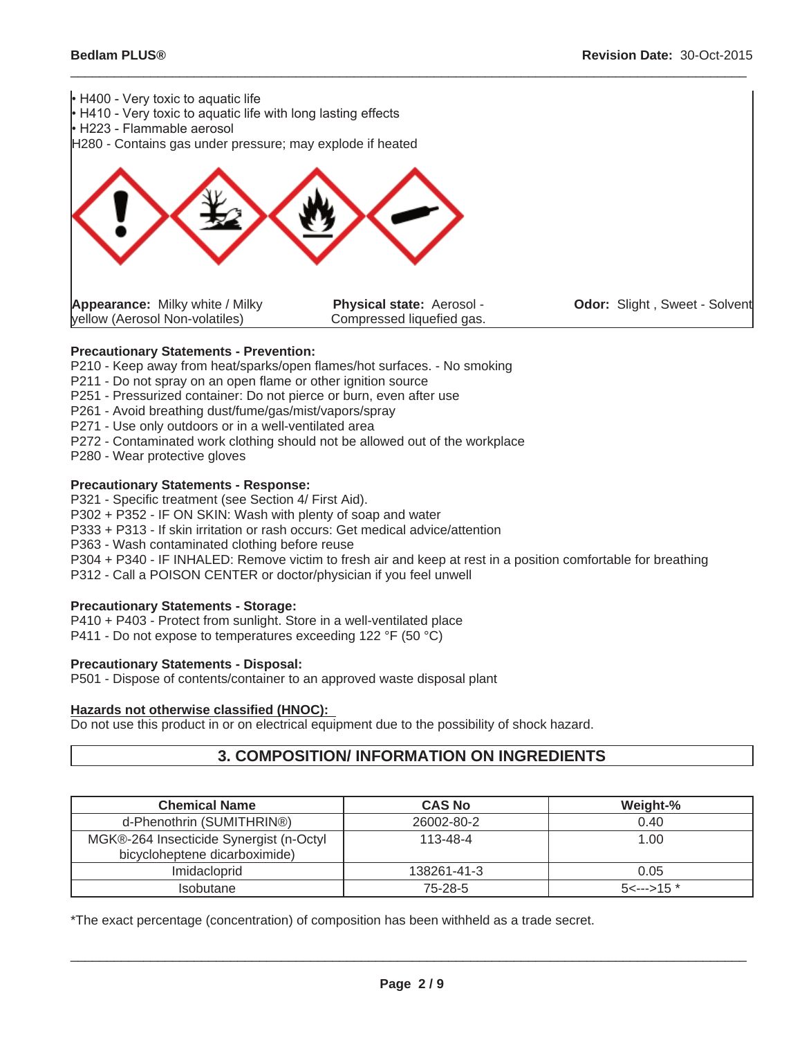

 $\_$  ,  $\_$  ,  $\_$  ,  $\_$  ,  $\_$  ,  $\_$  ,  $\_$  ,  $\_$  ,  $\_$  ,  $\_$  ,  $\_$  ,  $\_$  ,  $\_$  ,  $\_$  ,  $\_$  ,  $\_$  ,  $\_$  ,  $\_$  ,  $\_$  ,  $\_$  ,  $\_$  ,  $\_$  ,  $\_$  ,  $\_$  ,  $\_$  ,  $\_$  ,  $\_$  ,  $\_$  ,  $\_$  ,  $\_$  ,  $\_$  ,  $\_$  ,  $\_$  ,  $\_$  ,  $\_$  ,  $\_$  ,  $\_$  ,

## **Precautionary Statements - Prevention:**

P210 - Keep away from heat/sparks/open flames/hot surfaces. - No smoking

- P211 Do not spray on an open flame or other ignition source
- P251 Pressurized container: Do not pierce or burn, even after use
- P261 Avoid breathing dust/fume/gas/mist/vapors/spray
- P271 Use only outdoors or in a well-ventilated area
- P272 Contaminated work clothing should not be allowed out of the workplace
- P280 Wear protective gloves

### **Precautionary Statements - Response:**

P321 - Specific treatment (see Section 4/ First Aid).

P302 + P352 - IF ON SKIN: Wash with plenty of soap and water

P333 + P313 - If skin irritation or rash occurs: Get medical advice/attention

P363 - Wash contaminated clothing before reuse

P304 + P340 - IF INHALED: Remove victim to fresh air and keep at rest in a position comfortable for breathing

P312 - Call a POISON CENTER or doctor/physician if you feel unwell

## **Precautionary Statements - Storage:**

P410 + P403 - Protect from sunlight. Store in a well-ventilated place P411 - Do not expose to temperatures exceeding 122 °F (50 °C)

#### **Precautionary Statements - Disposal:**

P501 - Dispose of contents/container to an approved waste disposal plant

#### **Hazards not otherwise classified (HNOC):**

Do not use this product in or on electrical equipment due to the possibility of shock hazard.

## **3. COMPOSITION/ INFORMATION ON INGREDIENTS**

| <b>Chemical Name</b>                                                     | <b>CAS No</b>  | Weight-%              |
|--------------------------------------------------------------------------|----------------|-----------------------|
| d-Phenothrin (SUMITHRIN®)                                                | 26002-80-2     | 0.40                  |
| MGK®-264 Insecticide Synergist (n-Octyl<br>bicycloheptene dicarboximide) | $113 - 48 - 4$ | 1.00                  |
| Imidacloprid                                                             | 138261-41-3    | 0.05                  |
| <b>Isobutane</b>                                                         | 75-28-5        | $5 \leftarrow 5 15$ * |

\*The exact percentage (concentration) of composition has been withheld as a trade secret.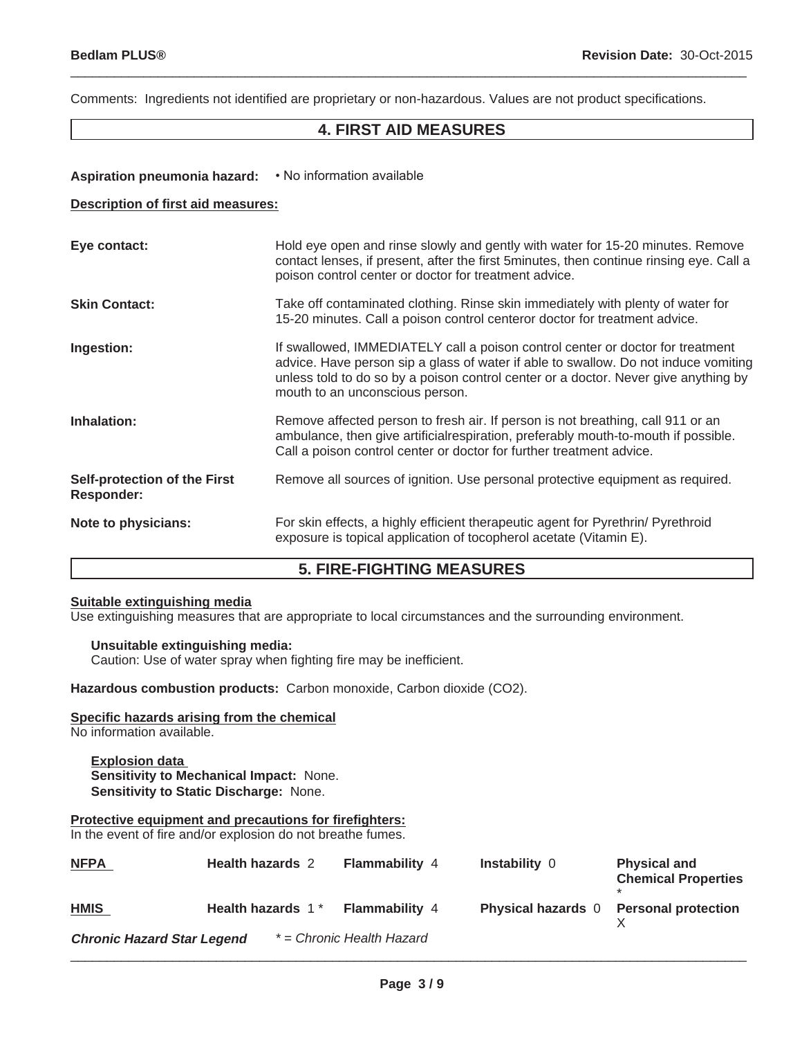Comments: Ingredients not identified are proprietary or non-hazardous. Values are not product specifications.

## **4. FIRST AID MEASURES**

 $\_$  ,  $\_$  ,  $\_$  ,  $\_$  ,  $\_$  ,  $\_$  ,  $\_$  ,  $\_$  ,  $\_$  ,  $\_$  ,  $\_$  ,  $\_$  ,  $\_$  ,  $\_$  ,  $\_$  ,  $\_$  ,  $\_$  ,  $\_$  ,  $\_$  ,  $\_$  ,  $\_$  ,  $\_$  ,  $\_$  ,  $\_$  ,  $\_$  ,  $\_$  ,  $\_$  ,  $\_$  ,  $\_$  ,  $\_$  ,  $\_$  ,  $\_$  ,  $\_$  ,  $\_$  ,  $\_$  ,  $\_$  ,  $\_$  ,

## Aspiration pneumonia hazard: • No information available

#### **Description of first aid measures:**

| Eye contact:                                             | Hold eye open and rinse slowly and gently with water for 15-20 minutes. Remove<br>contact lenses, if present, after the first 5minutes, then continue rinsing eye. Call a<br>poison control center or doctor for treatment advice.                                                              |
|----------------------------------------------------------|-------------------------------------------------------------------------------------------------------------------------------------------------------------------------------------------------------------------------------------------------------------------------------------------------|
| <b>Skin Contact:</b>                                     | Take off contaminated clothing. Rinse skin immediately with plenty of water for<br>15-20 minutes. Call a poison control centeror doctor for treatment advice.                                                                                                                                   |
| Ingestion:                                               | If swallowed, IMMEDIATELY call a poison control center or doctor for treatment<br>advice. Have person sip a glass of water if able to swallow. Do not induce vomiting<br>unless told to do so by a poison control center or a doctor. Never give anything by<br>mouth to an unconscious person. |
| Inhalation:                                              | Remove affected person to fresh air. If person is not breathing, call 911 or an<br>ambulance, then give artificial respiration, preferably mouth-to-mouth if possible.<br>Call a poison control center or doctor for further treatment advice.                                                  |
| <b>Self-protection of the First</b><br><b>Responder:</b> | Remove all sources of ignition. Use personal protective equipment as required.                                                                                                                                                                                                                  |
| Note to physicians:                                      | For skin effects, a highly efficient therapeutic agent for Pyrethrin/ Pyrethroid<br>exposure is topical application of tocopherol acetate (Vitamin E).                                                                                                                                          |

## **5. FIRE-FIGHTING MEASURES**

## **Suitable extinguishing media**

Use extinguishing measures that are appropriate to local circumstances and the surrounding environment.

## **Unsuitable extinguishing media:**

Caution: Use of water spray when fighting fire may be inefficient.

**Hazardous combustion products:** Carbon monoxide, Carbon dioxide (CO2).

## **Specific hazards arising from the chemical**

No information available.

#### **Explosion data Sensitivity to Mechanical Impact:** None. **Sensitivity to Static Discharge:** None.

## **Protective equipment and precautions for firefighters:**

In the event of fire and/or explosion do not breathe fumes.

| <b>NFPA</b>                       | <b>Health hazards 2</b>       | <b>Flammability 4</b>     | <b>Instability 0</b>      | <b>Physical and</b><br><b>Chemical Properties</b> |
|-----------------------------------|-------------------------------|---------------------------|---------------------------|---------------------------------------------------|
| <b>HMIS</b>                       | Health hazards 1 <sup>*</sup> | <b>Flammability 4</b>     | <b>Physical hazards</b> 0 | <b>Personal protection</b>                        |
| <b>Chronic Hazard Star Legend</b> |                               | * = Chronic Health Hazard |                           |                                                   |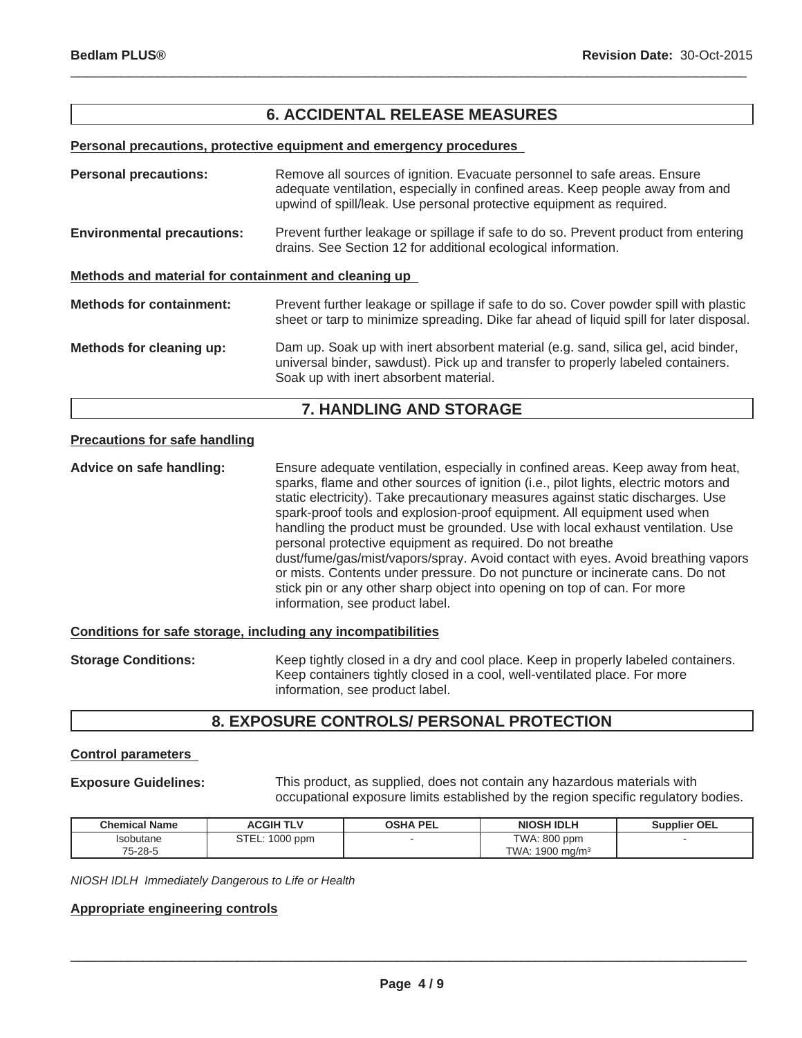## **6. ACCIDENTAL RELEASE MEASURES**

 $\_$  ,  $\_$  ,  $\_$  ,  $\_$  ,  $\_$  ,  $\_$  ,  $\_$  ,  $\_$  ,  $\_$  ,  $\_$  ,  $\_$  ,  $\_$  ,  $\_$  ,  $\_$  ,  $\_$  ,  $\_$  ,  $\_$  ,  $\_$  ,  $\_$  ,  $\_$  ,  $\_$  ,  $\_$  ,  $\_$  ,  $\_$  ,  $\_$  ,  $\_$  ,  $\_$  ,  $\_$  ,  $\_$  ,  $\_$  ,  $\_$  ,  $\_$  ,  $\_$  ,  $\_$  ,  $\_$  ,  $\_$  ,  $\_$  ,

#### **Personal precautions, protective equipment and emergency procedures**

| <b>Personal precautions:</b>                         | Remove all sources of ignition. Evacuate personnel to safe areas. Ensure<br>adequate ventilation, especially in confined areas. Keep people away from and<br>upwind of spill/leak. Use personal protective equipment as required. |  |
|------------------------------------------------------|-----------------------------------------------------------------------------------------------------------------------------------------------------------------------------------------------------------------------------------|--|
| <b>Environmental precautions:</b>                    | Prevent further leakage or spillage if safe to do so. Prevent product from entering<br>drains. See Section 12 for additional ecological information.                                                                              |  |
| Methods and material for containment and cleaning up |                                                                                                                                                                                                                                   |  |
| <b>Methods for containment:</b>                      | Prevent further leakage or spillage if safe to do so. Cover powder spill with plastic<br>sheet or tarp to minimize spreading. Dike far ahead of liquid spill for later disposal.                                                  |  |
| Methods for cleaning up:                             | Dam up. Soak up with inert absorbent material (e.g. sand, silica gel, acid binder,<br>universal binder, sawdust). Pick up and transfer to properly labeled containers.<br>Soak up with inert absorbent material.                  |  |

## **7. HANDLING AND STORAGE**

### **Precautions for safe handling**

**Advice on safe handling:** Ensure adequate ventilation, especially in confined areas. Keep away from heat, sparks, flame and other sources of ignition (i.e., pilot lights, electric motors and static electricity). Take precautionary measures against static discharges. Use spark-proof tools and explosion-proof equipment. All equipment used when handling the product must be grounded. Use with local exhaust ventilation. Use personal protective equipment as required. Do not breathe dust/fume/gas/mist/vapors/spray. Avoid contact with eyes. Avoid breathing vapors or mists. Contents under pressure. Do not puncture or incinerate cans. Do not stick pin or any other sharp object into opening on top of can. For more information, see product label.

#### **Conditions for safe storage, including any incompatibilities**

**Storage Conditions:** Keep tightly closed in a dry and cool place. Keep in properly labeled containers. Keep containers tightly closed in a cool, well-ventilated place. For more information, see product label.

## **8. EXPOSURE CONTROLS/ PERSONAL PROTECTION**

## **Control parameters**

**Exposure Guidelines:** This product, as supplied, does not contain any hazardous materials with occupational exposure limits established by the region specific regulatory bodies.

| <b>Chemical Name</b>    | <b>ACGIH TLV</b> | <b>OSHA PEL</b> | NIOSH IDLH                 | <b>Supplier OEL</b> |
|-------------------------|------------------|-----------------|----------------------------|---------------------|
| <i><b>Isobutane</b></i> | STEL: 1000 ppm   |                 | TWA: 800 ppm               |                     |
| 75-28-5                 |                  |                 | TWA: $1900 \text{ mg/m}^3$ |                     |

*NIOSH IDLH Immediately Dangerous to Life or Health*

## **Appropriate engineering controls**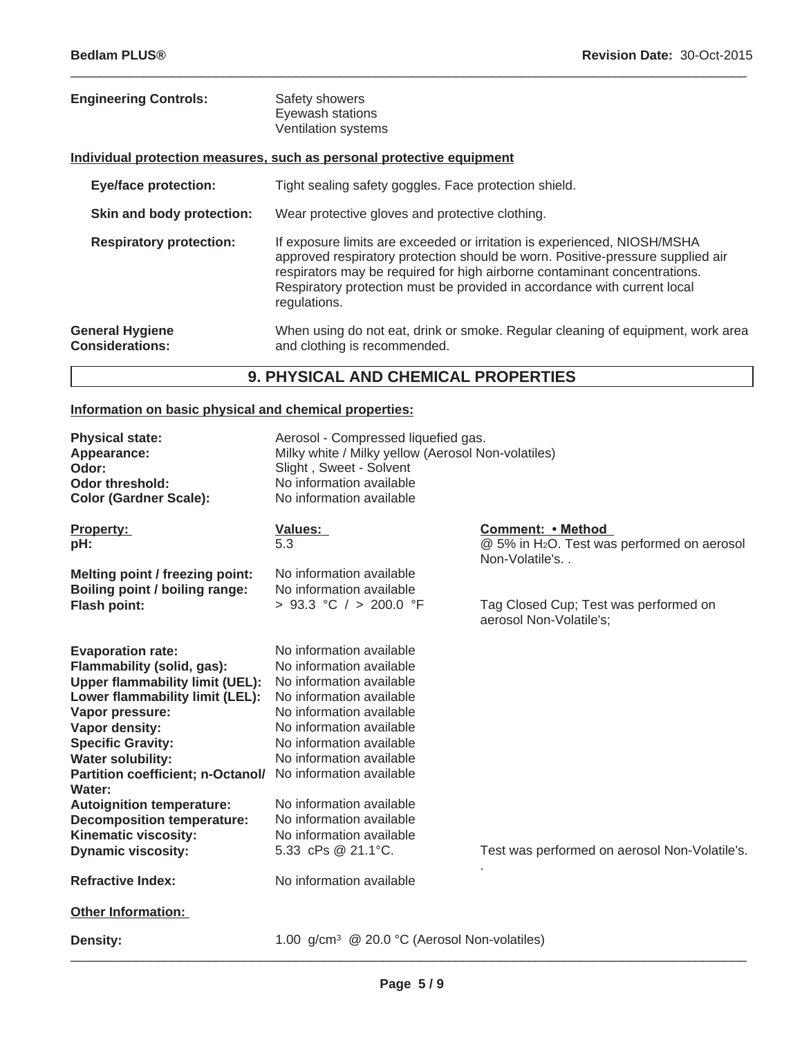| <b>Engineering Controls:</b>                     | Safety showers<br>Eyewash stations<br><b>Ventilation systems</b>                                                                                                                                                                                                                                                                    |
|--------------------------------------------------|-------------------------------------------------------------------------------------------------------------------------------------------------------------------------------------------------------------------------------------------------------------------------------------------------------------------------------------|
|                                                  | Individual protection measures, such as personal protective equipment                                                                                                                                                                                                                                                               |
| <b>Eye/face protection:</b>                      | Tight sealing safety goggles. Face protection shield.                                                                                                                                                                                                                                                                               |
| Skin and body protection:                        | Wear protective gloves and protective clothing.                                                                                                                                                                                                                                                                                     |
| <b>Respiratory protection:</b>                   | If exposure limits are exceeded or irritation is experienced, NIOSH/MSHA<br>approved respiratory protection should be worn. Positive-pressure supplied air<br>respirators may be required for high airborne contaminant concentrations.<br>Respiratory protection must be provided in accordance with current local<br>regulations. |
| <b>General Hygiene</b><br><b>Considerations:</b> | When using do not eat, drink or smoke. Regular cleaning of equipment, work area<br>and clothing is recommended.                                                                                                                                                                                                                     |

 $\_$  ,  $\_$  ,  $\_$  ,  $\_$  ,  $\_$  ,  $\_$  ,  $\_$  ,  $\_$  ,  $\_$  ,  $\_$  ,  $\_$  ,  $\_$  ,  $\_$  ,  $\_$  ,  $\_$  ,  $\_$  ,  $\_$  ,  $\_$  ,  $\_$  ,  $\_$  ,  $\_$  ,  $\_$  ,  $\_$  ,  $\_$  ,  $\_$  ,  $\_$  ,  $\_$  ,  $\_$  ,  $\_$  ,  $\_$  ,  $\_$  ,  $\_$  ,  $\_$  ,  $\_$  ,  $\_$  ,  $\_$  ,  $\_$  ,

# **9. PHYSICAL AND CHEMICAL PROPERTIES**

## **Information on basic physical and chemical properties:**

| <b>Physical state:</b><br>Appearance:<br>Odor:<br><b>Odor threshold:</b><br><b>Color (Gardner Scale):</b>                                                                                                                                                                       | Aerosol - Compressed liquefied gas.<br>Milky white / Milky yellow (Aerosol Non-volatiles)<br>Slight, Sweet - Solvent<br>No information available<br>No information available                                                                             |                                                                                                |
|---------------------------------------------------------------------------------------------------------------------------------------------------------------------------------------------------------------------------------------------------------------------------------|----------------------------------------------------------------------------------------------------------------------------------------------------------------------------------------------------------------------------------------------------------|------------------------------------------------------------------------------------------------|
| Property:<br>pH:                                                                                                                                                                                                                                                                | <b>Values:</b><br>5.3                                                                                                                                                                                                                                    | Comment: • Method<br>@ 5% in H <sub>2</sub> O. Test was performed on aerosol<br>Non-Volatile's |
| Melting point / freezing point:<br>Boiling point / boiling range:<br><b>Flash point:</b>                                                                                                                                                                                        | No information available<br>No information available<br>> 93.3 °C / > 200.0 °F                                                                                                                                                                           | Tag Closed Cup; Test was performed on<br>aerosol Non-Volatile's;                               |
| <b>Evaporation rate:</b><br>Flammability (solid, gas):<br><b>Upper flammability limit (UEL):</b><br>Lower flammability limit (LEL):<br>Vapor pressure:<br>Vapor density:<br><b>Specific Gravity:</b><br><b>Water solubility:</b><br>Partition coefficient; n-Octanol/<br>Water: | No information available<br>No information available<br>No information available<br>No information available<br>No information available<br>No information available<br>No information available<br>No information available<br>No information available |                                                                                                |
| <b>Autoignition temperature:</b><br><b>Decomposition temperature:</b><br>Kinematic viscosity:<br><b>Dynamic viscosity:</b><br><b>Refractive Index:</b>                                                                                                                          | No information available<br>No information available<br>No information available<br>5.33 cPs @ 21.1°C.<br>No information available                                                                                                                       | Test was performed on aerosol Non-Volatile's.                                                  |
| <b>Other Information:</b>                                                                                                                                                                                                                                                       |                                                                                                                                                                                                                                                          |                                                                                                |
| <b>Density:</b>                                                                                                                                                                                                                                                                 | 1.00 g/cm <sup>3</sup> @ 20.0 °C (Aerosol Non-volatiles)                                                                                                                                                                                                 |                                                                                                |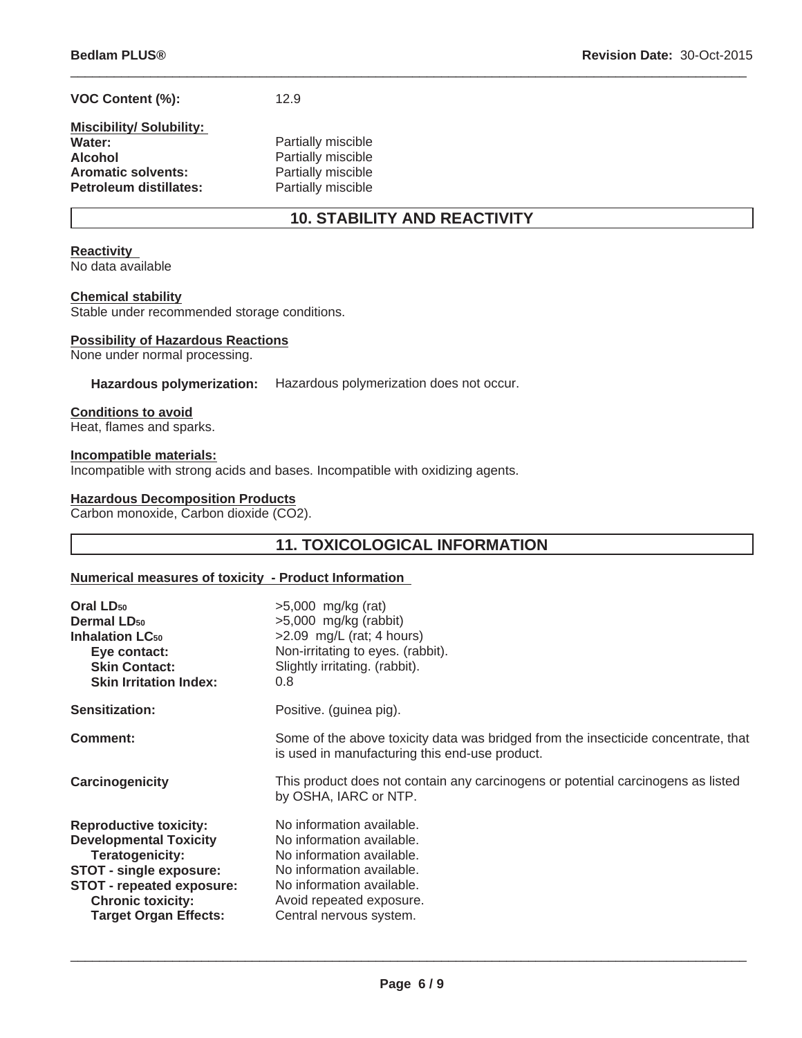## **VOC Content (%):** 12.9

## **Miscibility/ Solubility:**  Water: **Water:** Partially miscible **Alcohol**<br> **Aromatic solvents:**<br> **Partially miscible Aromatic solvents:** Partially miscible<br> **Petroleum distillates:** Partially miscible **Petroleum distillates:**

# **10. STABILITY AND REACTIVITY**

 $\_$  ,  $\_$  ,  $\_$  ,  $\_$  ,  $\_$  ,  $\_$  ,  $\_$  ,  $\_$  ,  $\_$  ,  $\_$  ,  $\_$  ,  $\_$  ,  $\_$  ,  $\_$  ,  $\_$  ,  $\_$  ,  $\_$  ,  $\_$  ,  $\_$  ,  $\_$  ,  $\_$  ,  $\_$  ,  $\_$  ,  $\_$  ,  $\_$  ,  $\_$  ,  $\_$  ,  $\_$  ,  $\_$  ,  $\_$  ,  $\_$  ,  $\_$  ,  $\_$  ,  $\_$  ,  $\_$  ,  $\_$  ,  $\_$  ,

## **Reactivity**

No data available

## **Chemical stability**

Stable under recommended storage conditions.

#### **Possibility of Hazardous Reactions**

None under normal processing.

#### **Hazardous polymerization:** Hazardous polymerization does not occur.

#### **Conditions to avoid**

Heat, flames and sparks.

#### **Incompatible materials:**

Incompatible with strong acids and bases. Incompatible with oxidizing agents.

### **Hazardous Decomposition Products**

Carbon monoxide, Carbon dioxide (CO2).

## **11. TOXICOLOGICAL INFORMATION**

#### **Numerical measures of toxicity - Product Information**

| Oral LD <sub>50</sub><br><b>Dermal LD<sub>50</sub></b><br><b>Inhalation LC50</b><br>Eye contact:<br><b>Skin Contact:</b><br><b>Skin Irritation Index:</b>                                                           | $>5,000$ mg/kg (rat)<br>$>5,000$ mg/kg (rabbit)<br>>2.09 mg/L (rat; 4 hours)<br>Non-irritating to eyes. (rabbit).<br>Slightly irritating. (rabbit).<br>0.8                                           |
|---------------------------------------------------------------------------------------------------------------------------------------------------------------------------------------------------------------------|------------------------------------------------------------------------------------------------------------------------------------------------------------------------------------------------------|
| Sensitization:                                                                                                                                                                                                      | Positive. (guinea pig).                                                                                                                                                                              |
| Comment:                                                                                                                                                                                                            | Some of the above toxicity data was bridged from the insecticide concentrate, that<br>is used in manufacturing this end-use product.                                                                 |
| Carcinogenicity                                                                                                                                                                                                     | This product does not contain any carcinogens or potential carcinogens as listed<br>by OSHA, IARC or NTP.                                                                                            |
| <b>Reproductive toxicity:</b><br><b>Developmental Toxicity</b><br>Teratogenicity:<br><b>STOT - single exposure:</b><br><b>STOT - repeated exposure:</b><br><b>Chronic toxicity:</b><br><b>Target Organ Effects:</b> | No information available.<br>No information available.<br>No information available.<br>No information available.<br>No information available.<br>Avoid repeated exposure.<br>Central nervous system. |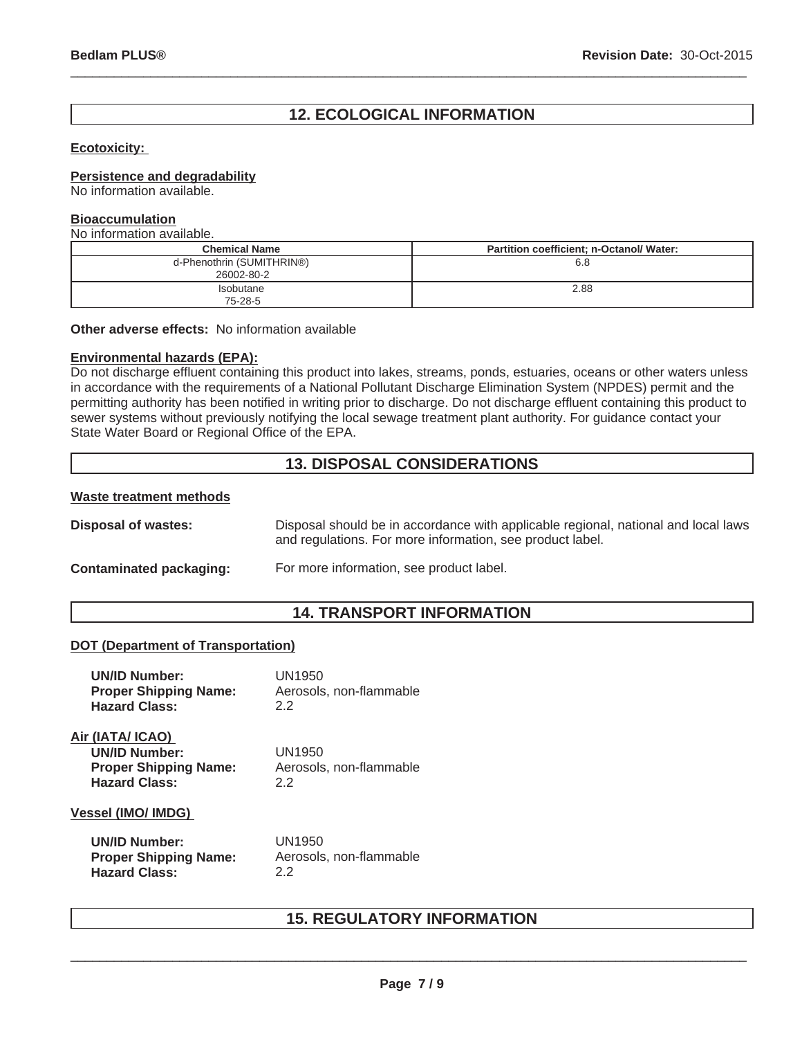# **12. ECOLOGICAL INFORMATION**

 $\_$  ,  $\_$  ,  $\_$  ,  $\_$  ,  $\_$  ,  $\_$  ,  $\_$  ,  $\_$  ,  $\_$  ,  $\_$  ,  $\_$  ,  $\_$  ,  $\_$  ,  $\_$  ,  $\_$  ,  $\_$  ,  $\_$  ,  $\_$  ,  $\_$  ,  $\_$  ,  $\_$  ,  $\_$  ,  $\_$  ,  $\_$  ,  $\_$  ,  $\_$  ,  $\_$  ,  $\_$  ,  $\_$  ,  $\_$  ,  $\_$  ,  $\_$  ,  $\_$  ,  $\_$  ,  $\_$  ,  $\_$  ,  $\_$  ,

## **Ecotoxicity:**

## **Persistence and degradability**

No information available.

## **Bioaccumulation**

No information available.

| <b>Chemical Name</b>                    | Partition coefficient; n-Octanol/ Water: |
|-----------------------------------------|------------------------------------------|
| d-Phenothrin (SUMITHRIN®)<br>26002-80-2 | 6.8                                      |
| <b>Isobutane</b><br>75-28-5             | 2.88                                     |

**Other adverse effects:** No information available

### **Environmental hazards (EPA):**

Do not discharge effluent containing this product into lakes, streams, ponds, estuaries, oceans or other waters unless in accordance with the requirements of a National Pollutant Discharge Elimination System (NPDES) permit and the permitting authority has been notified in writing prior to discharge. Do not discharge effluent containing this product to sewer systems without previously notifying the local sewage treatment plant authority. For guidance contact your State Water Board or Regional Office of the EPA.

## **13. DISPOSAL CONSIDERATIONS**

## **Waste treatment methods**

**Disposal of wastes:** Disposal should be in accordance with applicable regional, national and local laws and regulations. For more information, see product label.

## **Contaminated packaging:** For more information, see product label.

## **14. TRANSPORT INFORMATION**

#### **DOT (Department of Transportation)**

| <b>UN/ID Number:</b>                                                                             | UN1950                                  |
|--------------------------------------------------------------------------------------------------|-----------------------------------------|
| <b>Proper Shipping Name:</b>                                                                     | Aerosols, non-flammable                 |
| <b>Hazard Class:</b>                                                                             | 22                                      |
| Air (IATA/ ICAO)<br><b>UN/ID Number:</b><br><b>Proper Shipping Name:</b><br><b>Hazard Class:</b> | UN1950<br>Aerosols, non-flammable<br>22 |
| <b>Vessel (IMO/ IMDG)</b>                                                                        |                                         |
| <b>UN/ID Number:</b>                                                                             | UN1950                                  |
| <b>Proper Shipping Name:</b>                                                                     | Aerosols, non-flammable                 |
| <b>Hazard Class:</b>                                                                             | 2.2                                     |

## **15. REGULATORY INFORMATION**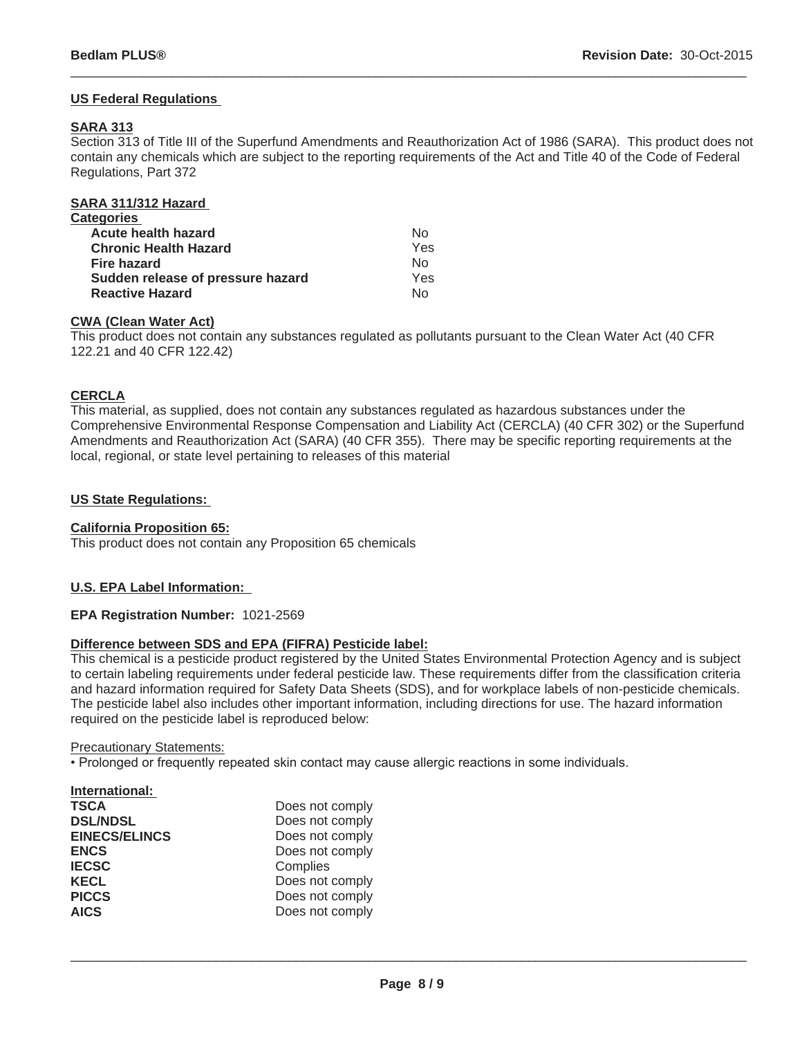## **US Federal Regulations**

## **SARA 313**

Section 313 of Title III of the Superfund Amendments and Reauthorization Act of 1986 (SARA). This product does not contain any chemicals which are subject to the reporting requirements of the Act and Title 40 of the Code of Federal Regulations, Part 372

 $\_$  ,  $\_$  ,  $\_$  ,  $\_$  ,  $\_$  ,  $\_$  ,  $\_$  ,  $\_$  ,  $\_$  ,  $\_$  ,  $\_$  ,  $\_$  ,  $\_$  ,  $\_$  ,  $\_$  ,  $\_$  ,  $\_$  ,  $\_$  ,  $\_$  ,  $\_$  ,  $\_$  ,  $\_$  ,  $\_$  ,  $\_$  ,  $\_$  ,  $\_$  ,  $\_$  ,  $\_$  ,  $\_$  ,  $\_$  ,  $\_$  ,  $\_$  ,  $\_$  ,  $\_$  ,  $\_$  ,  $\_$  ,  $\_$  ,

| SARA 311/312 Hazard               |     |
|-----------------------------------|-----|
| Categories                        |     |
| <b>Acute health hazard</b>        | N٥  |
| <b>Chronic Health Hazard</b>      | Yes |
| <b>Fire hazard</b>                | No  |
| Sudden release of pressure hazard | Yes |
| <b>Reactive Hazard</b>            | N٥  |
|                                   |     |

## **CWA (Clean Water Act)**

This product does not contain any substances regulated as pollutants pursuant to the Clean Water Act (40 CFR 122.21 and 40 CFR 122.42)

## **CERCLA**

This material, as supplied, does not contain any substances regulated as hazardous substances under the Comprehensive Environmental Response Compensation and Liability Act (CERCLA) (40 CFR 302) or the Superfund Amendments and Reauthorization Act (SARA) (40 CFR 355). There may be specific reporting requirements at the local, regional, or state level pertaining to releases of this material

## **US State Regulations:**

## **California Proposition 65:**

This product does not contain any Proposition 65 chemicals

## **U.S. EPA Label Information:**

## **EPA Registration Number:** 1021-2569

## **Difference between SDS and EPA (FIFRA) Pesticide label:**

This chemical is a pesticide product registered by the United States Environmental Protection Agency and is subject to certain labeling requirements under federal pesticide law. These requirements differ from the classification criteria and hazard information required for Safety Data Sheets (SDS), and for workplace labels of non-pesticide chemicals. The pesticide label also includes other important information, including directions for use. The hazard information required on the pesticide label is reproduced below:

#### Precautionary Statements:

• Prolonged or frequently repeated skin contact may cause allergic reactions in some individuals.

| International:       |                 |
|----------------------|-----------------|
| <b>TSCA</b>          | Does not comply |
| <b>DSL/NDSL</b>      | Does not comply |
| <b>EINECS/ELINCS</b> | Does not comply |
| <b>ENCS</b>          | Does not comply |
| <b>IECSC</b>         | Complies        |
| <b>KECL</b>          | Does not comply |
| <b>PICCS</b>         | Does not comply |
| <b>AICS</b>          | Does not comply |